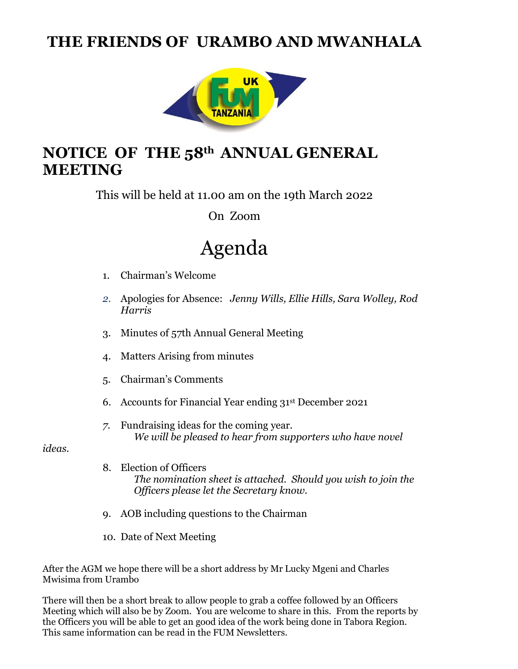## **THE FRIENDS OF URAMBO AND MWANHALA**



## **NOTICE OF THE 58th ANNUAL GENERAL MEETING**

This will be held at 11.00 am on the 19th March 2022

On Zoom

# Agenda

- 1. Chairman's Welcome
- *2.* Apologies for Absence: *Jenny Wills, Ellie Hills, Sara Wolley, Rod Harris*
- 3. Minutes of 57th Annual General Meeting
- 4. Matters Arising from minutes
- 5. Chairman's Comments
- 6. Accounts for Financial Year ending 31st December 2021
- *7.* Fundraising ideas for the coming year. *We will be pleased to hear from supporters who have novel*

*ideas.*

- 8. Election of Officers *The nomination sheet is attached. Should you wish to join the Officers please let the Secretary know.*
- 9. AOB including questions to the Chairman
- 10. Date of Next Meeting

After the AGM we hope there will be a short address by Mr Lucky Mgeni and Charles Mwisima from Urambo

There will then be a short break to allow people to grab a coffee followed by an Officers Meeting which will also be by Zoom. You are welcome to share in this. From the reports by the Officers you will be able to get an good idea of the work being done in Tabora Region. This same information can be read in the FUM Newsletters.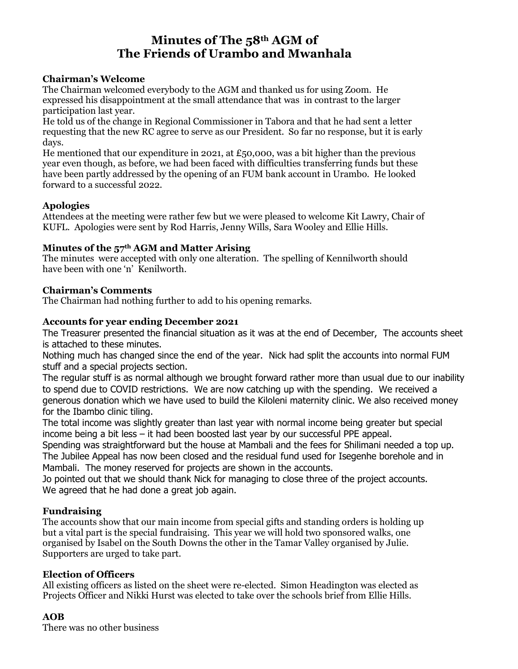### **Minutes of The 58th AGM of The Friends of Urambo and Mwanhala**

#### **Chairman's Welcome**

The Chairman welcomed everybody to the AGM and thanked us for using Zoom. He expressed his disappointment at the small attendance that was in contrast to the larger participation last year.

He told us of the change in Regional Commissioner in Tabora and that he had sent a letter requesting that the new RC agree to serve as our President. So far no response, but it is early days.

He mentioned that our expenditure in 2021, at  $£50,000$ , was a bit higher than the previous year even though, as before, we had been faced with difficulties transferring funds but these have been partly addressed by the opening of an FUM bank account in Urambo. He looked forward to a successful 2022.

#### **Apologies**

Attendees at the meeting were rather few but we were pleased to welcome Kit Lawry, Chair of KUFL. Apologies were sent by Rod Harris, Jenny Wills, Sara Wooley and Ellie Hills.

#### **Minutes of the 57th AGM and Matter Arising**

The minutes were accepted with only one alteration. The spelling of Kennilworth should have been with one 'n' Kenilworth.

#### **Chairman's Comments**

The Chairman had nothing further to add to his opening remarks.

#### **Accounts for year ending December 2021**

The Treasurer presented the financial situation as it was at the end of December, The accounts sheet is attached to these minutes.

Nothing much has changed since the end of the year. Nick had split the accounts into normal FUM stuff and a special projects section.

The regular stuff is as normal although we brought forward rather more than usual due to our inability to spend due to COVID restrictions. We are now catching up with the spending. We received a generous donation which we have used to build the Kiloleni maternity clinic. We also received money for the Ibambo clinic tiling.

The total income was slightly greater than last year with normal income being greater but special income being a bit less – it had been boosted last year by our successful PPE appeal.

Spending was straightforward but the house at Mambali and the fees for Shilimani needed a top up. The Jubilee Appeal has now been closed and the residual fund used for Isegenhe borehole and in Mambali. The money reserved for projects are shown in the accounts.

Jo pointed out that we should thank Nick for managing to close three of the project accounts. We agreed that he had done a great job again.

#### **Fundraising**

The accounts show that our main income from special gifts and standing orders is holding up but a vital part is the special fundraising. This year we will hold two sponsored walks, one organised by Isabel on the South Downs the other in the Tamar Valley organised by Julie. Supporters are urged to take part.

#### **Election of Officers**

All existing officers as listed on the sheet were re-elected. Simon Headington was elected as Projects Officer and Nikki Hurst was elected to take over the schools brief from Ellie Hills.

#### **AOB**

There was no other business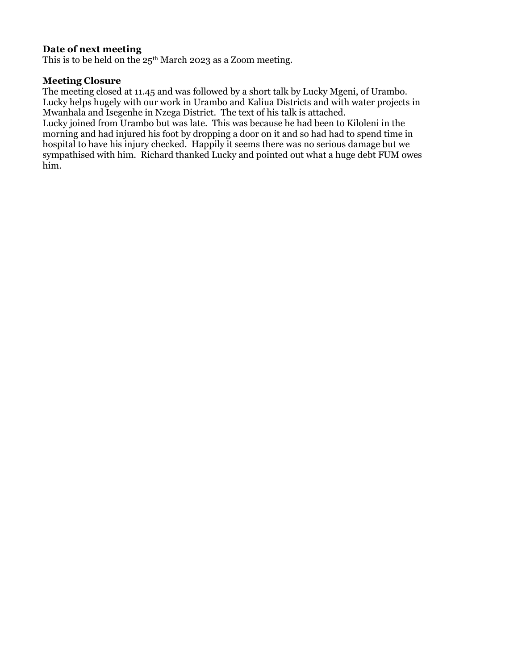#### **Date of next meeting**

This is to be held on the  $25<sup>th</sup>$  March 2023 as a Zoom meeting.

#### **Meeting Closure**

The meeting closed at 11.45 and was followed by a short talk by Lucky Mgeni, of Urambo. Lucky helps hugely with our work in Urambo and Kaliua Districts and with water projects in Mwanhala and Isegenhe in Nzega District. The text of his talk is attached.

Lucky joined from Urambo but was late. This was because he had been to Kiloleni in the morning and had injured his foot by dropping a door on it and so had had to spend time in hospital to have his injury checked. Happily it seems there was no serious damage but we sympathised with him. Richard thanked Lucky and pointed out what a huge debt FUM owes him.